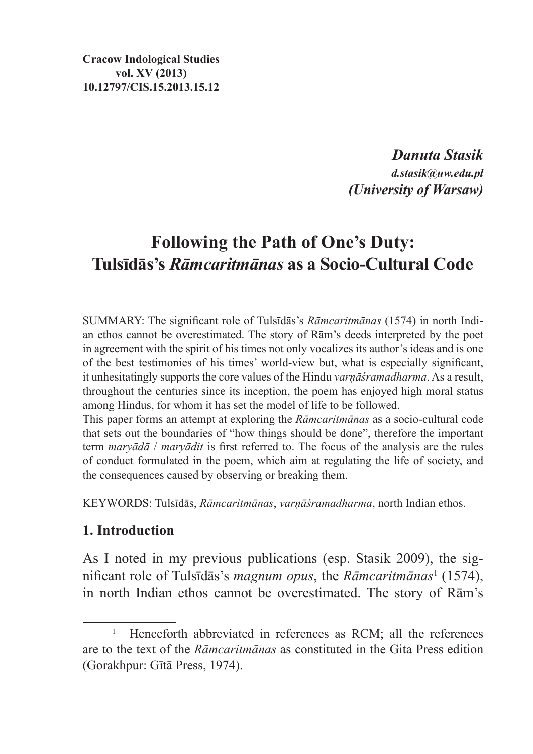**Cracow Indological Studies vol. XV (2013) 10.12797/CIS.15.2013.15.12**

> *Danuta Stasik d.stasik@uw.edu.pl (University of Warsaw)*

# **Following the Path of One's Duty: Tulsīdās's** *Rāmcaritmānas* **as a Socio-Cultural Code**

SUMMARY: The significant role of Tulsīdās's *Rāmcaritmānas* (1574) in north Indian ethos cannot be overestimated. The story of Rām's deeds interpreted by the poet in agreement with the spirit of his times not only vocalizes its author's ideas and is one of the best testimonies of his times' world-view but, what is especially significant, it unhesitatingly supports the core values of the Hindu *varṇāśramadharma*. As a result, throughout the centuries since its inception, the poem has enjoyed high moral status among Hindus, for whom it has set the model of life to be followed.

This paper forms an attempt at exploring the *Rāmcaritmānas* as a socio-cultural code that sets out the boundaries of "how things should be done", therefore the important term *maryādā* / *maryādit* is first referred to. The focus of the analysis are the rules of conduct formulated in the poem, which aim at regulating the life of society, and the consequences caused by observing or breaking them.

KEYWORDS: Tulsīdās, *Rāmcaritmānas*, *varṇāśramadharma*, north Indian ethos.

## **1. Introduction**

As I noted in my previous publications (esp. Stasik 2009), the significant role of Tulsīdās's *magnum opus*, the *Rāmcaritmānas*<sup>1</sup> (1574), in north Indian ethos cannot be overestimated. The story of Rām's

<sup>1</sup> Henceforth abbreviated in references as RCM; all the references are to the text of the *Rāmcaritmānas* as constituted in the Gita Press edition (Gorakhpur: Gītā Press, 1974).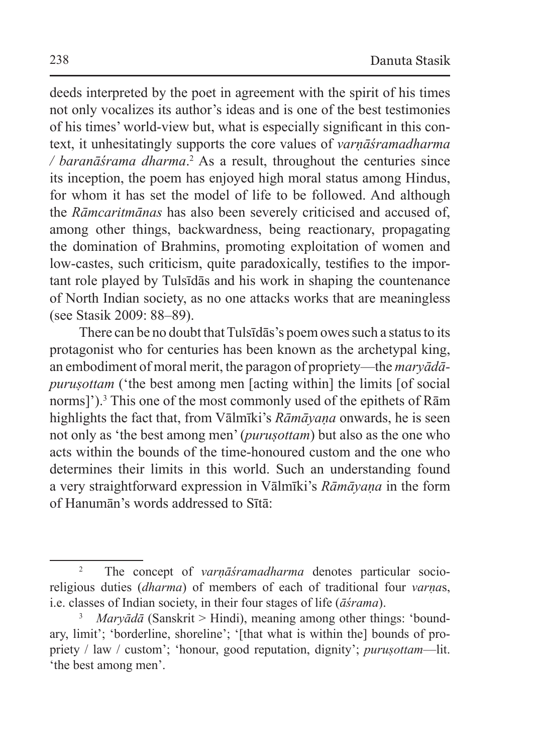deeds interpreted by the poet in agreement with the spirit of his times not only vocalizes its author's ideas and is one of the best testimonies of his times' world-view but, what is especially significant in this context, it unhesitatingly supports the core values of *varṇāśramadharma*  / *baranāśrama dharma*.<sup>2</sup> As a result, throughout the centuries since its inception, the poem has enjoyed high moral status among Hindus, for whom it has set the model of life to be followed. And although the *Rāmcaritmānas* has also been severely criticised and accused of, among other things, backwardness, being reactionary, propagating the domination of Brahmins, promoting exploitation of women and low-castes, such criticism, quite paradoxically, testifies to the important role played by Tulsīdās and his work in shaping the countenance of North Indian society, as no one attacks works that are meaningless (see Stasik 2009: 88–89).

There can be no doubt that Tulsīdās's poem owes such a status to its protagonist who for centuries has been known as the archetypal king, an embodiment of moral merit, the paragon of propriety—the *maryādāpurusottam* ('the best among men [acting within] the limits [of social norms]').<sup>3</sup> This one of the most commonly used of the epithets of Rām highlights the fact that, from Vālmīki's *Rāmāyaṇa* onwards, he is seen not only as 'the best among men' (*puruṣottam*) but also as the one who acts within the bounds of the time-honoured custom and the one who determines their limits in this world. Such an understanding found a very straightforward expression in Vālmīki's *Rāmāyaṇa* in the form of Hanumān's words addressed to Sītā:

<sup>2</sup> The concept of *varṇāśramadharma* denotes particular socioreligious duties (*dharma*) of members of each of traditional four *varṇa*s, i.e. classes of Indian society, in their four stages of life (*āśrama*).

<sup>3</sup> *Maryādā* (Sanskrit > Hindi), meaning among other things: 'boundary, limit'; 'borderline, shoreline'; '[that what is within the] bounds of propriety / law / custom'; 'honour, good reputation, dignity'; *purusottam*—lit. 'the best among men'.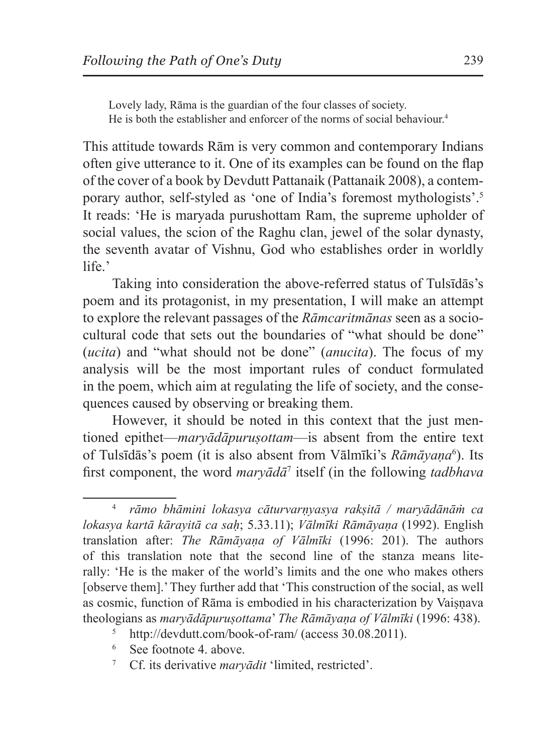Lovely lady, Rāma is the guardian of the four classes of society. He is both the establisher and enforcer of the norms of social behaviour.<sup>4</sup>

This attitude towards Rām is very common and contemporary Indians often give utterance to it. One of its examples can be found on the flap of the cover of a book by Devdutt Pattanaik (Pattanaik 2008), a contemporary author, self-styled as 'one of India's foremost mythologists'.<sup>5</sup> It reads: 'He is maryada purushottam Ram, the supreme upholder of social values, the scion of the Raghu clan, jewel of the solar dynasty, the seventh avatar of Vishnu, God who establishes order in worldly life.'

Taking into consideration the above-referred status of Tulsīdās's poem and its protagonist, in my presentation, I will make an attempt to explore the relevant passages of the *Rāmcaritmānas* seen as a sociocultural code that sets out the boundaries of "what should be done" (*ucita*) and "what should not be done" (*anucita*). The focus of my analysis will be the most important rules of conduct formulated in the poem, which aim at regulating the life of society, and the consequences caused by observing or breaking them.

However, it should be noted in this context that the just mentioned epithet—*maryādāpuruṣottam*—is absent from the entire text of Tulsīdās's poem (it is also absent from Vālmīki's *Rāmāyaṇa*<sup>6</sup> ). Its first component, the word *maryādā*<sup>7</sup> itself (in the following *tadbhava*

- <sup>6</sup> See footnote 4. above.
- <sup>7</sup> Cf. its derivative *maryādit* 'limited, restricted'.

<sup>4</sup> *rāmo bhāmini lokasya cāturvarṇyasya rakṣitā / maryādānāṁ ca lokasya kartā kārayitā ca saḥ*; 5.33.11); *Vālmīki Rāmāyaṇa* (1992). English translation after: *The Rāmāyaṇa of Vālmīki* (1996: 201). The authors of this translation note that the second line of the stanza means literally: 'He is the maker of the world's limits and the one who makes others [observe them].' They further add that 'This construction of the social, as well as cosmic, function of Rāma is embodied in his characterization by Vaisnava theologians as *maryādāpuruṣottama*' *The Rāmāyaṇa of Vālmīki* (1996: 438).

http://devdutt.com/book-of-ram/ (access 30.08.2011).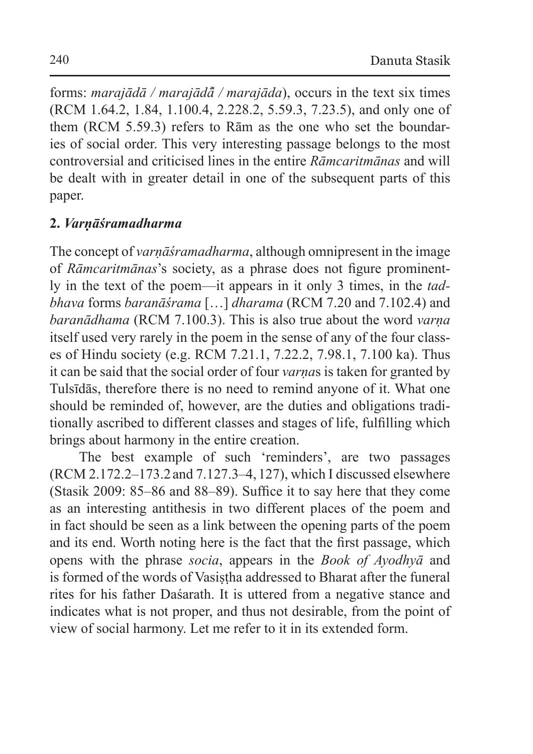forms: *marajādā / marajādā� / marajāda*), occurs in the text six times (RCM 1.64.2, 1.84, 1.100.4, 2.228.2, 5.59.3, 7.23.5), and only one of them (RCM 5.59.3) refers to Rām as the one who set the boundaries of social order. This very interesting passage belongs to the most controversial and criticised lines in the entire *Rāmcaritmānas* and will be dealt with in greater detail in one of the subsequent parts of this paper.

# **2.** *Varṇāśramadharma*

The concept of *varnāśramadharma*, although omnipresent in the image of *Rāmcaritmānas*'s society, as a phrase does not figure prominently in the text of the poem—it appears in it only 3 times, in the *tadbhava* forms *baranāśrama* […] *dharama* (RCM 7.20 and 7.102.4) and *baranādhama* (RCM 7.100.3). This is also true about the word *varṇa*  itself used very rarely in the poem in the sense of any of the four classes of Hindu society (e.g. RCM 7.21.1, 7.22.2, 7.98.1, 7.100 ka). Thus it can be said that the social order of four *varṇa*s is taken for granted by Tulsīdās, therefore there is no need to remind anyone of it. What one should be reminded of, however, are the duties and obligations traditionally ascribed to different classes and stages of life, fulfilling which brings about harmony in the entire creation.

The best example of such 'reminders', are two passages (RCM 2.172.2–173.2 and 7.127.3–4,127), which I discussed elsewhere (Stasik 2009: 85–86 and 88–89). Suffice it to say here that they come as an interesting antithesis in two different places of the poem and in fact should be seen as a link between the opening parts of the poem and its end. Worth noting here is the fact that the first passage, which opens with the phrase *socia*, appears in the *Book of Ayodhyā* and is formed of the words of Vasistha addressed to Bharat after the funeral rites for his father Daśarath. It is uttered from a negative stance and indicates what is not proper, and thus not desirable, from the point of view of social harmony. Let me refer to it in its extended form.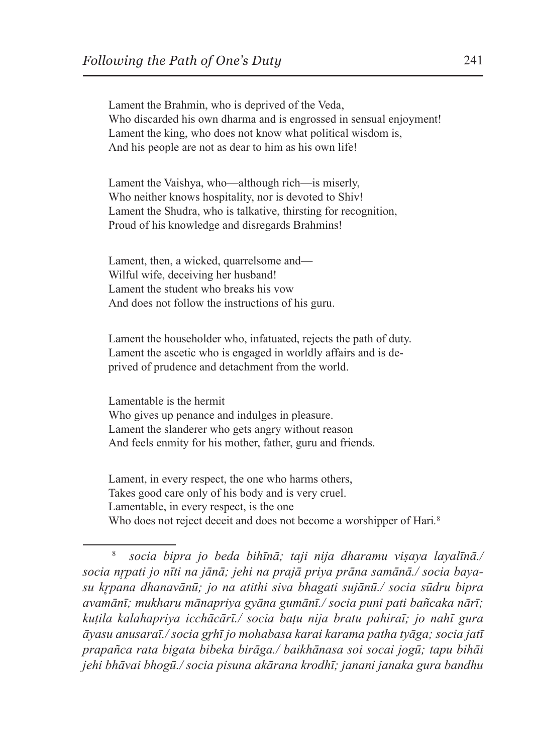Lament the Brahmin, who is deprived of the Veda, Who discarded his own dharma and is engrossed in sensual enjoyment! Lament the king, who does not know what political wisdom is, And his people are not as dear to him as his own life!

Lament the Vaishya, who—although rich—is miserly, Who neither knows hospitality, nor is devoted to Shiv! Lament the Shudra, who is talkative, thirsting for recognition, Proud of his knowledge and disregards Brahmins!

Lament, then, a wicked, quarrelsome and— Wilful wife, deceiving her husband! Lament the student who breaks his vow And does not follow the instructions of his guru.

Lament the householder who, infatuated, rejects the path of duty. Lament the ascetic who is engaged in worldly affairs and is deprived of prudence and detachment from the world.

Lamentable is the hermit Who gives up penance and indulges in pleasure. Lament the slanderer who gets angry without reason And feels enmity for his mother, father, guru and friends.

Lament, in every respect, the one who harms others, Takes good care only of his body and is very cruel. Lamentable, in every respect, is the one Who does not reject deceit and does not become a worshipper of Hari*.* 8

<sup>8</sup> *socia bipra jo beda bihīnā; taji nija dharamu viṣaya layalīnā./ socia nr̥pati jo nīti na jānā; jehi na prajā priya prāna samānā./ socia bayasu kr̥pana dhanavānū; jo na atithi siva bhagati sujānū./ socia sūdru bipra avamānī; mukharu mānapriya gyāna gumānī./ socia puni pati bañcaka nārī; kuṭila kalahapriya icchācārī./ socia baṭu nija bratu pahiraī; jo nahĩ gura āyasu anusaraī./ socia gr̥hī jo mohabasa karai karama patha tyāga; socia jatī prapañca rata bigata bibeka birāga./ baikhānasa soi socai jogū; tapu bihāi jehi bhāvai bhogū./ socia pisuna akārana krodhī; janani janaka gura bandhu*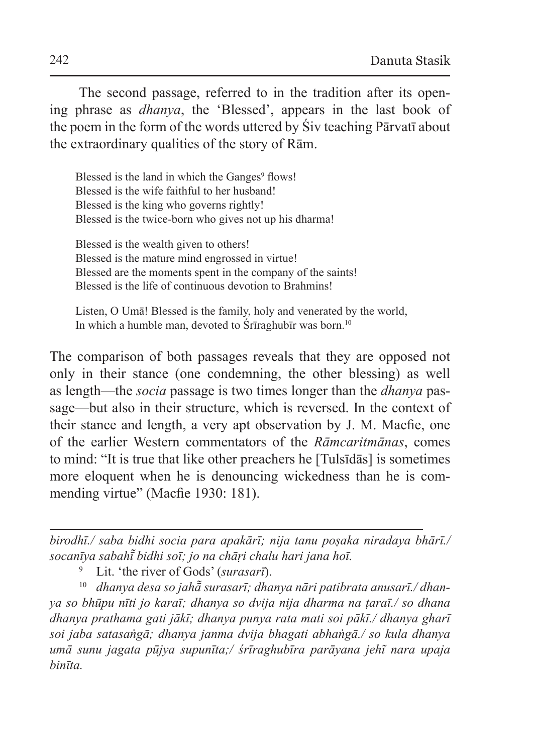The second passage, referred to in the tradition after its opening phrase as *dhanya*, the 'Blessed', appears in the last book of the poem in the form of the words uttered by Śiv teaching Pārvatī about the extraordinary qualities of the story of Rām.

Blessed is the land in which the Ganges<sup>9</sup> flows! Blessed is the wife faithful to her husband! Blessed is the king who governs rightly! Blessed is the twice-born who gives not up his dharma!

Blessed is the wealth given to others! Blessed is the mature mind engrossed in virtue! Blessed are the moments spent in the company of the saints! Blessed is the life of continuous devotion to Brahmins!

Listen, O Umā! Blessed is the family, holy and venerated by the world, In which a humble man, devoted to Śrīraghubīr was born.<sup>10</sup>

The comparison of both passages reveals that they are opposed not only in their stance (one condemning, the other blessing) as well as length—the *socia* passage is two times longer than the *dhanya* passage—but also in their structure, which is reversed. In the context of their stance and length, a very apt observation by J. M. Macfie, one of the earlier Western commentators of the *Rāmcaritmānas*, comes to mind: "It is true that like other preachers he [Tulsīdās] is sometimes more eloquent when he is denouncing wickedness than he is commending virtue" (Macfie 1930: 181).

*birodhī./ saba bidhi socia para apakārī; nija tanu poṣaka niradaya bhārī./ socanīya sabahī bidhi soī; jo na chāṛi chalu hari jana hoī. ̃*

<sup>9</sup> Lit. 'the river of Gods' (*surasarī*).

<sup>10</sup> *dhanya desa so jahā̃ surasarī; dhanya nāri patibrata anusarī./ dhanya so bhūpu nīti jo karaī; dhanya so dvija nija dharma na ṭaraī./ so dhana dhanya prathama gati jākī; dhanya punya rata mati soi pākī./ dhanya gharī soi jaba satasaṅgā; dhanya janma dvija bhagati abhaṅgā./ so kula dhanya umā sunu jagata pūjya supunīta;/ śrīraghubīra parāyana jehĩ nara upaja binīta.*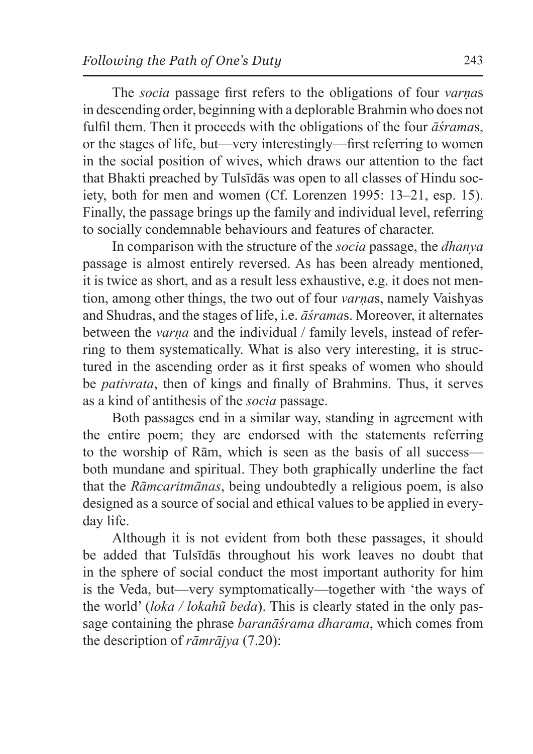The *socia* passage first refers to the obligations of four *varṇa*s in descending order, beginning with a deplorable Brahmin who does not fulfil them. Then it proceeds with the obligations of the four *āśrama*s, or the stages of life, but—very interestingly—first referring to women in the social position of wives, which draws our attention to the fact that Bhakti preached by Tulsīdās was open to all classes of Hindu society, both for men and women (Cf. Lorenzen 1995: 13–21, esp. 15). Finally, the passage brings up the family and individual level, referring to socially condemnable behaviours and features of character.

In comparison with the structure of the *socia* passage, the *dhanya* passage is almost entirely reversed. As has been already mentioned, it is twice as short, and as a result less exhaustive, e.g. it does not mention, among other things, the two out of four *varṇa*s, namely Vaishyas and Shudras, and the stages of life, i.e. *āśrama*s. Moreover, it alternates between the *varna* and the individual / family levels, instead of referring to them systematically. What is also very interesting, it is structured in the ascending order as it first speaks of women who should be *pativrata*, then of kings and finally of Brahmins. Thus, it serves as a kind of antithesis of the *socia* passage.

Both passages end in a similar way, standing in agreement with the entire poem; they are endorsed with the statements referring to the worship of Rām, which is seen as the basis of all success both mundane and spiritual. They both graphically underline the fact that the *Rāmcaritmānas*, being undoubtedly a religious poem, is also designed as a source of social and ethical values to be applied in everyday life.

Although it is not evident from both these passages, it should be added that Tulsīdās throughout his work leaves no doubt that in the sphere of social conduct the most important authority for him is the Veda, but—very symptomatically—together with 'the ways of the world' (*loka / lokahũ beda*). This is clearly stated in the only passage containing the phrase *baranāśrama dharama*, which comes from the description of *rāmrājya* (7.20):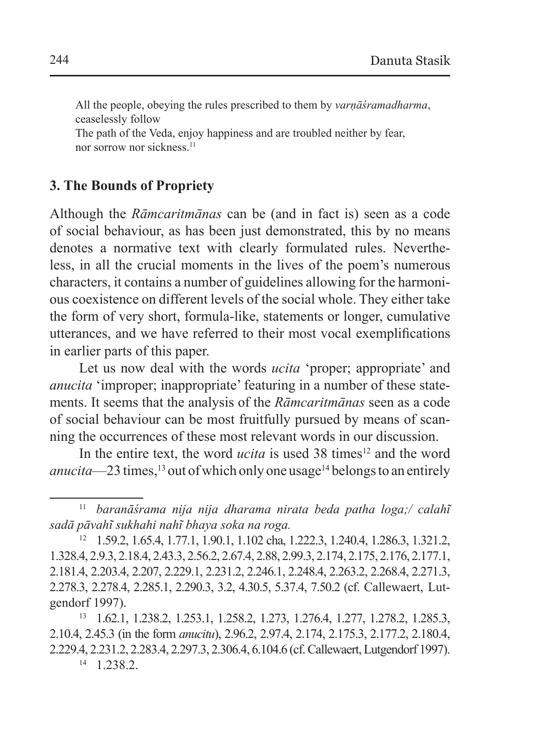All the people, obeying the rules prescribed to them by *varṇāśramadharma*, ceaselessly follow

The path of the Veda, enjoy happiness and are troubled neither by fear, nor sorrow nor sickness.<sup>11</sup>

### **3. The Bounds of Propriety**

Although the *Rāmcaritmānas* can be (and in fact is) seen as a code of social behaviour, as has been just demonstrated, this by no means denotes a normative text with clearly formulated rules. Nevertheless, in all the crucial moments in the lives of the poem's numerous characters, it contains a number of guidelines allowing for the harmonious coexistence on different levels of the social whole. They either take the form of very short, formula-like, statements or longer, cumulative utterances, and we have referred to their most vocal exemplifications in earlier parts of this paper.

Let us now deal with the words *ucita* 'proper; appropriate' and *anucita* 'improper; inappropriate' featuring in a number of these statements. It seems that the analysis of the *Rāmcaritmānas* seen as a code of social behaviour can be most fruitfully pursued by means of scanning the occurrences of these most relevant words in our discussion.

In the entire text, the word *ucita* is used 38 times<sup>12</sup> and the word *anucita*—23 times,<sup>13</sup> out of which only one usage<sup>14</sup> belongs to an entirely

 $14 \quad 1.238.2.$ 

<sup>11</sup> *baranāśrama nija nija dharama nirata beda patha loga;/ calahĩ sadā pāvahĩ sukhahi nahĩ bhaya soka na roga.*

<sup>12</sup> 1.59.2, 1.65.4, 1.77.1, 1.90.1, 1.102 cha, 1.222.3, 1.240.4, 1.286.3, 1.321.2, 1.328.4, 2.9.3, 2.18.4, 2.43.3, 2.56.2, 2.67.4, 2.88, 2.99.3, 2.174, 2.175, 2.176, 2.177.1, 2.181.4, 2.203.4, 2.207, 2.229.1, 2.231.2, 2.246.1, 2.248.4, 2.263.2, 2.268.4, 2.271.3, 2.278.3, 2.278.4, 2.285.1, 2.290.3, 3.2, 4.30.5, 5.37.4, 7.50.2 (cf. Callewaert, Lutgendorf 1997).

<sup>13</sup> 1.62.1, 1.238.2, 1.253.1, 1.258.2, 1.273, 1.276.4, 1.277, 1.278.2, 1.285.3, 2.10.4, 2.45.3 (in the form *anucitu*), 2.96.2, 2.97.4, 2.174, 2.175.3, 2.177.2, 2.180.4, 2.229.4, 2.231.2, 2.283.4, 2.297.3, 2.306.4, 6.104.6 (cf. Callewaert,Lutgendorf 1997).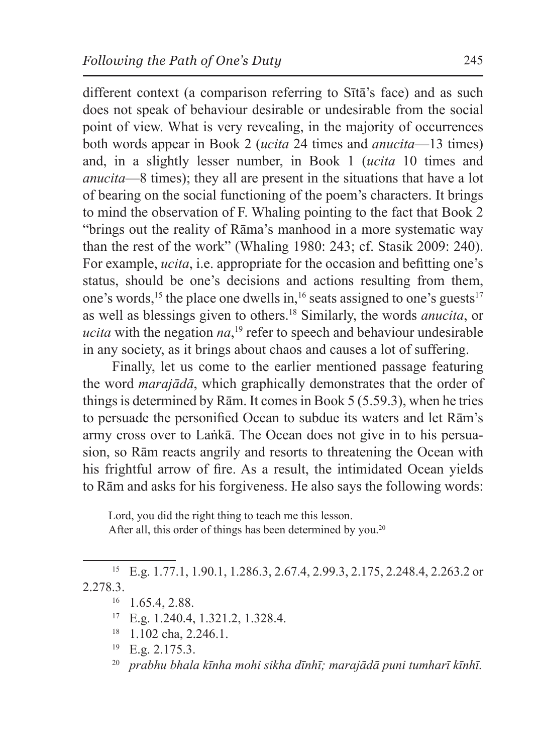different context (a comparison referring to Sītā's face) and as such does not speak of behaviour desirable or undesirable from the social point of view. What is very revealing, in the majority of occurrences both words appear in Book 2 (*ucita* 24 times and *anucita*—13 times) and, in a slightly lesser number, in Book 1 (*ucita* 10 times and *anucita*—8 times); they all are present in the situations that have a lot of bearing on the social functioning of the poem's characters. It brings to mind the observation of F. Whaling pointing to the fact that Book 2 "brings out the reality of Rāma's manhood in a more systematic way than the rest of the work" (Whaling 1980: 243; cf. Stasik 2009: 240). For example, *ucita*, i.e. appropriate for the occasion and befitting one's status, should be one's decisions and actions resulting from them, one's words,<sup>15</sup> the place one dwells in,<sup>16</sup> seats assigned to one's guests<sup>17</sup> as well as blessings given to others.<sup>18</sup> Similarly, the words *anucita*, or *ucita* with the negation *na*, 19 refer to speech and behaviour undesirable in any society, as it brings about chaos and causes a lot of suffering.

Finally, let us come to the earlier mentioned passage featuring the word *marajādā*, which graphically demonstrates that the order of things is determined by Rām. It comes in Book 5 (5.59.3), when he tries to persuade the personified Ocean to subdue its waters and let Rām's army cross over to Laṅkā. The Ocean does not give in to his persuasion, so Rām reacts angrily and resorts to threatening the Ocean with his frightful arrow of fire. As a result, the intimidated Ocean yields to Rām and asks for his forgiveness. He also says the following words:

Lord, you did the right thing to teach me this lesson. After all, this order of things has been determined by you.<sup>20</sup>

<sup>15</sup> E.g. 1.77.1, 1.90.1, 1.286.3, 2.67.4, 2.99.3, 2.175, 2.248.4, 2.263.2 or 2.278.3.

- $16$  1.65.4, 2.88.
- <sup>17</sup> E.g. 1.240.4, 1.321.2, 1.328.4.
- <sup>18</sup> 1.102 cha, 2.246.1.
- $^{19}$  E.g. 2.175.3.

<sup>20</sup> *prabhu bhala kīnha mohi sikha dīnhī; marajādā puni tumharī kīnhī.*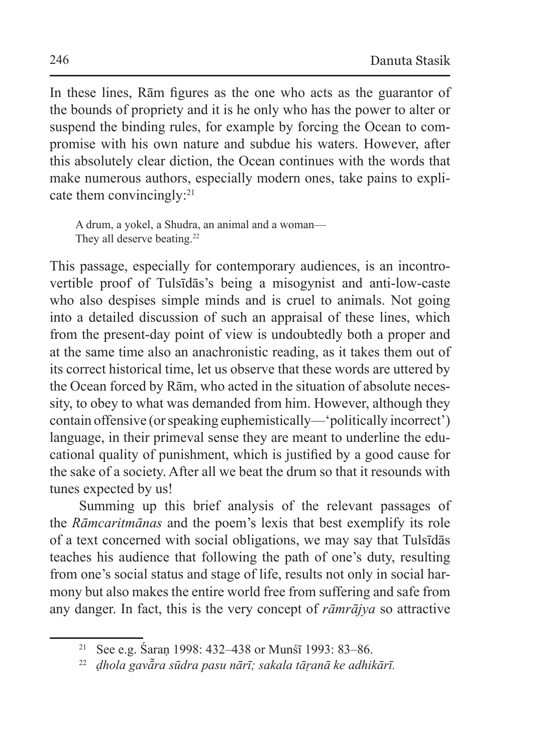In these lines, Rām figures as the one who acts as the guarantor of the bounds of propriety and it is he only who has the power to alter or suspend the binding rules, for example by forcing the Ocean to compromise with his own nature and subdue his waters. However, after this absolutely clear diction, the Ocean continues with the words that make numerous authors, especially modern ones, take pains to explicate them convincingly:<sup>21</sup>

A drum, a yokel, a Shudra, an animal and a woman— They all deserve beating.<sup>22</sup>

This passage, especially for contemporary audiences, is an incontrovertible proof of Tulsīdās's being a misogynist and anti-low-caste who also despises simple minds and is cruel to animals. Not going into a detailed discussion of such an appraisal of these lines, which from the present-day point of view is undoubtedly both a proper and at the same time also an anachronistic reading, as it takes them out of its correct historical time, let us observe that these words are uttered by the Ocean forced by Rām, who acted in the situation of absolute necessity, to obey to what was demanded from him. However, although they contain offensive (or speaking euphemistically—'politically incorrect') language, in their primeval sense they are meant to underline the educational quality of punishment, which is justified by a good cause for the sake of a society. After all we beat the drum so that it resounds with tunes expected by us!

Summing up this brief analysis of the relevant passages of the *Rāmcaritmānas* and the poem's lexis that best exemplify its role of a text concerned with social obligations, we may say that Tulsīdās teaches his audience that following the path of one's duty, resulting from one's social status and stage of life, results not only in social harmony but also makes the entire world free from suffering and safe from any danger. In fact, this is the very concept of *rāmrājya* so attractive

<sup>21</sup> See e.g. Śaraṇ 1998: 432–438 or Munśī 1993: 83–86.

<sup>22</sup> *ḍhola gavā̃ra sūdra pasu nārī; sakala tāṛanā ke adhikārī.*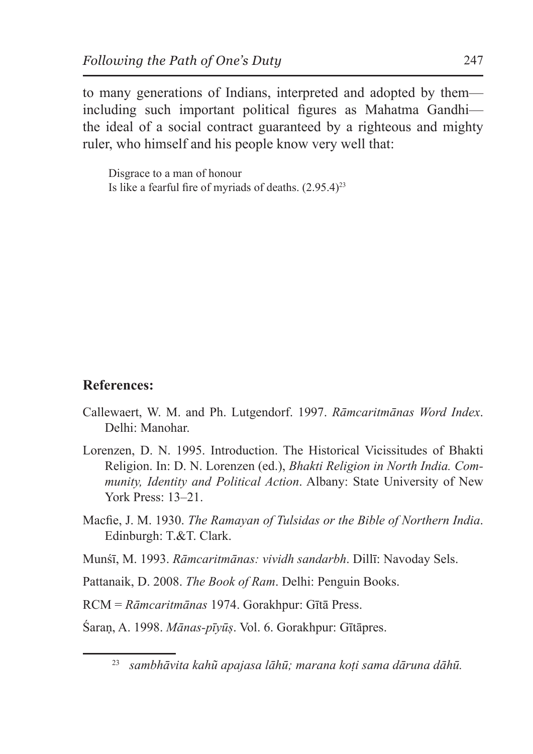to many generations of Indians, interpreted and adopted by them including such important political figures as Mahatma Gandhi the ideal of a social contract guaranteed by a righteous and mighty ruler, who himself and his people know very well that:

Disgrace to a man of honour Is like a fearful fire of myriads of deaths.  $(2.95.4)^{23}$ 

#### **References:**

- Callewaert, W. M. and Ph. Lutgendorf. 1997. *Rāmcaritmānas Word Index*. Delhi: Manohar.
- Lorenzen, D. N. 1995. Introduction. The Historical Vicissitudes of Bhakti Religion. In: D. N. Lorenzen (ed.), *Bhakti Religion in North India. Community, Identity and Political Action*. Albany: State University of New York Press: 13–21.
- Macfie, J. M. 1930. *The Ramayan of Tulsidas or the Bible of Northern India*. Edinburgh: T.&T. Clark.
- Munśī, M. 1993. *Rāmcaritmānas: vividh sandarbh*. Dillī: Navoday Sels.
- Pattanaik, D. 2008. *The Book of Ram*. Delhi: Penguin Books.

RCM = *Rāmcaritmānas* 1974. Gorakhpur: Gītā Press.

Śaraṇ, A. 1998. *Mānas-pīyūṣ*. Vol. 6. Gorakhpur: Gītāpres.

<sup>23</sup> *sambhāvita kahũ apajasa lāhū; marana koṭi sama dāruna dāhū.*